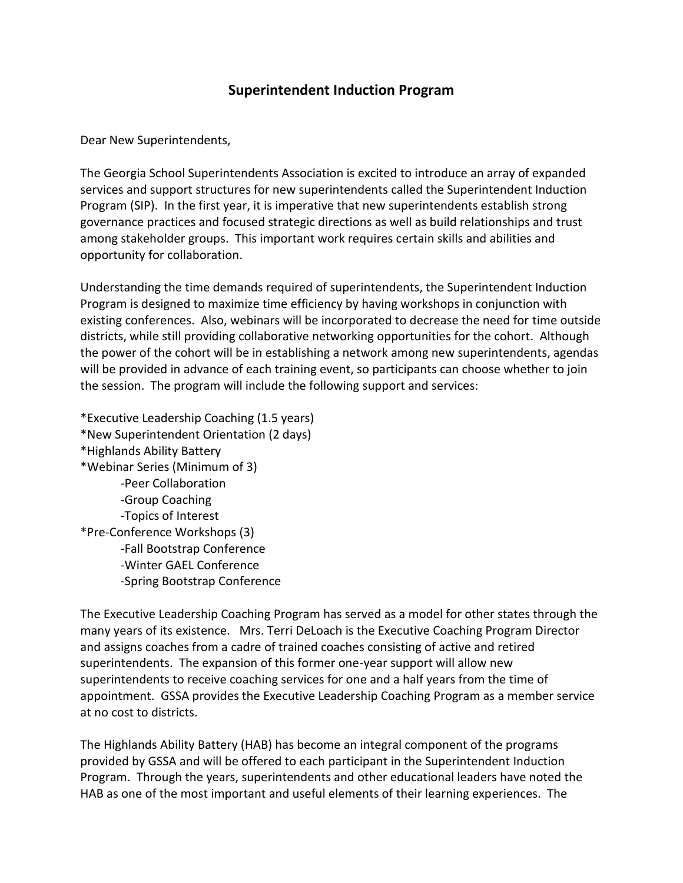## **Superintendent Induction Program**

Dear New Superintendents,

The Georgia School Superintendents Association is excited to introduce an array of expanded services and support structures for new superintendents called the Superintendent Induction Program (SIP). In the first year, it is imperative that new superintendents establish strong governance practices and focused strategic directions as well as build relationships and trust among stakeholder groups. This important work requires certain skills and abilities and opportunity for collaboration.

Understanding the time demands required of superintendents, the Superintendent Induction Program is designed to maximize time efficiency by having workshops in conjunction with existing conferences. Also, webinars will be incorporated to decrease the need for time outside districts, while still providing collaborative networking opportunities for the cohort. Although the power of the cohort will be in establishing a network among new superintendents, agendas will be provided in advance of each training event, so participants can choose whether to join the session. The program will include the following support and services:

\*Executive Leadership Coaching (1.5 years) \*New Superintendent Orientation (2 days) \*Highlands Ability Battery \*Webinar Series (Minimum of 3) -Peer Collaboration -Group Coaching -Topics of Interest \*Pre-Conference Workshops (3) -Fall Bootstrap Conference -Winter GAEL Conference -Spring Bootstrap Conference

The Executive Leadership Coaching Program has served as a model for other states through the many years of its existence. Mrs. Terri DeLoach is the Executive Coaching Program Director and assigns coaches from a cadre of trained coaches consisting of active and retired superintendents. The expansion of this former one-year support will allow new superintendents to receive coaching services for one and a half years from the time of appointment. GSSA provides the Executive Leadership Coaching Program as a member service at no cost to districts.

The Highlands Ability Battery (HAB) has become an integral component of the programs provided by GSSA and will be offered to each participant in the Superintendent Induction Program. Through the years, superintendents and other educational leaders have noted the HAB as one of the most important and useful elements of their learning experiences. The